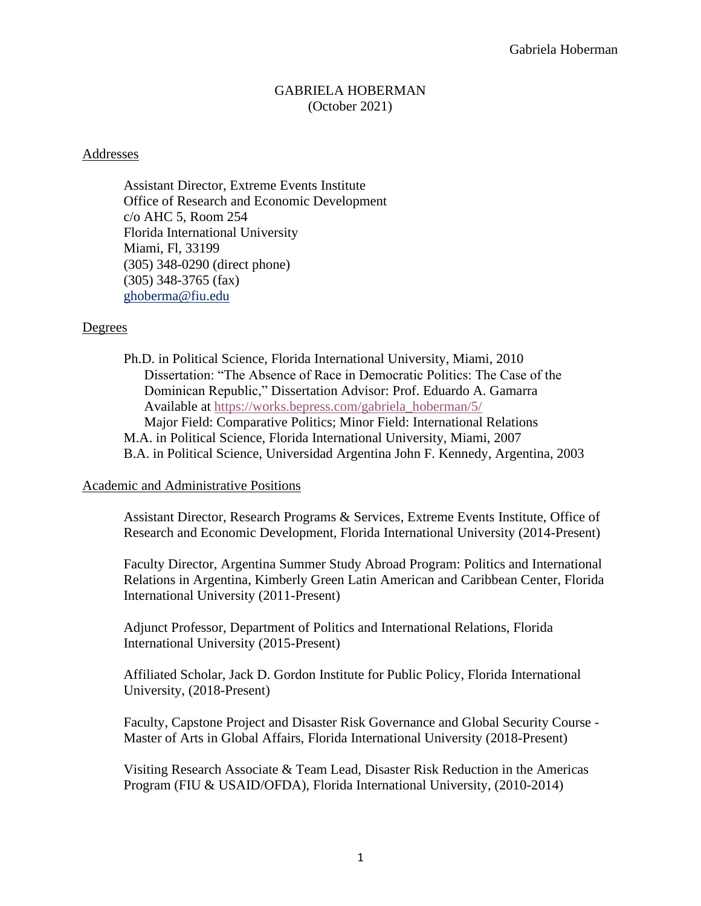## GABRIELA HOBERMAN (October 2021)

#### Addresses

Assistant Director, Extreme Events Institute Office of Research and Economic Development c/o AHC 5, Room 254 Florida International University Miami, Fl, 33199 (305) 348-0290 (direct phone) (305) 348-3765 (fax) [ghoberma@fiu.edu](mailto:ghoberma@fiu.edu)

### Degrees

Ph.D. in Political Science, Florida International University, Miami, 2010 Dissertation: "The Absence of Race in Democratic Politics: The Case of the Dominican Republic," Dissertation Advisor: Prof. Eduardo A. Gamarra Available at [https://works.bepress.com/gabriela\\_hoberman/5/](https://works.bepress.com/gabriela_hoberman/5/) Major Field: Comparative Politics; Minor Field: International Relations M.A. in Political Science, Florida International University, Miami, 2007 B.A. in Political Science, Universidad Argentina John F. Kennedy, Argentina, 2003

#### Academic and Administrative Positions

Assistant Director, Research Programs & Services, Extreme Events Institute, Office of Research and Economic Development, Florida International University (2014-Present)

Faculty Director, Argentina Summer Study Abroad Program: Politics and International Relations in Argentina, Kimberly Green Latin American and Caribbean Center, Florida International University (2011-Present)

Adjunct Professor, Department of Politics and International Relations, Florida International University (2015-Present)

Affiliated Scholar, Jack D. Gordon Institute for Public Policy, Florida International University, (2018-Present)

Faculty, Capstone Project and Disaster Risk Governance and Global Security Course - Master of Arts in Global Affairs, Florida International University (2018-Present)

Visiting Research Associate & Team Lead, Disaster Risk Reduction in the Americas Program (FIU & USAID/OFDA), Florida International University, (2010-2014)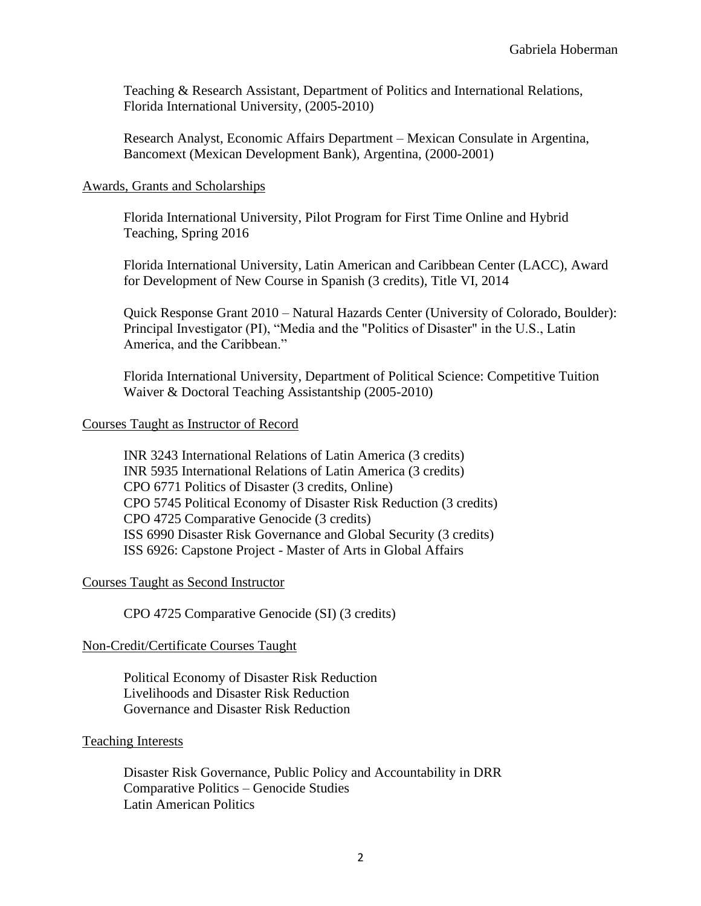Teaching & Research Assistant, Department of Politics and International Relations, Florida International University, (2005-2010)

Research Analyst, Economic Affairs Department – Mexican Consulate in Argentina, Bancomext (Mexican Development Bank), Argentina, (2000-2001)

### Awards, Grants and Scholarships

Florida International University, Pilot Program for First Time Online and Hybrid Teaching, Spring 2016

Florida International University, Latin American and Caribbean Center (LACC), Award for Development of New Course in Spanish (3 credits), Title VI, 2014

Quick Response Grant 2010 – Natural Hazards Center (University of Colorado, Boulder): Principal Investigator (PI), "Media and the "Politics of Disaster" in the U.S., Latin America, and the Caribbean."

Florida International University, Department of Political Science: Competitive Tuition Waiver & Doctoral Teaching Assistantship (2005-2010)

### Courses Taught as Instructor of Record

INR 3243 International Relations of Latin America (3 credits) INR 5935 International Relations of Latin America (3 credits) CPO 6771 Politics of Disaster (3 credits, Online) CPO 5745 Political Economy of Disaster Risk Reduction (3 credits) CPO 4725 Comparative Genocide (3 credits) ISS 6990 Disaster Risk Governance and Global Security (3 credits) ISS 6926: Capstone Project - Master of Arts in Global Affairs

## Courses Taught as Second Instructor

CPO 4725 Comparative Genocide (SI) (3 credits)

## Non-Credit/Certificate Courses Taught

Political Economy of Disaster Risk Reduction Livelihoods and Disaster Risk Reduction Governance and Disaster Risk Reduction

### Teaching Interests

Disaster Risk Governance, Public Policy and Accountability in DRR Comparative Politics – Genocide Studies Latin American Politics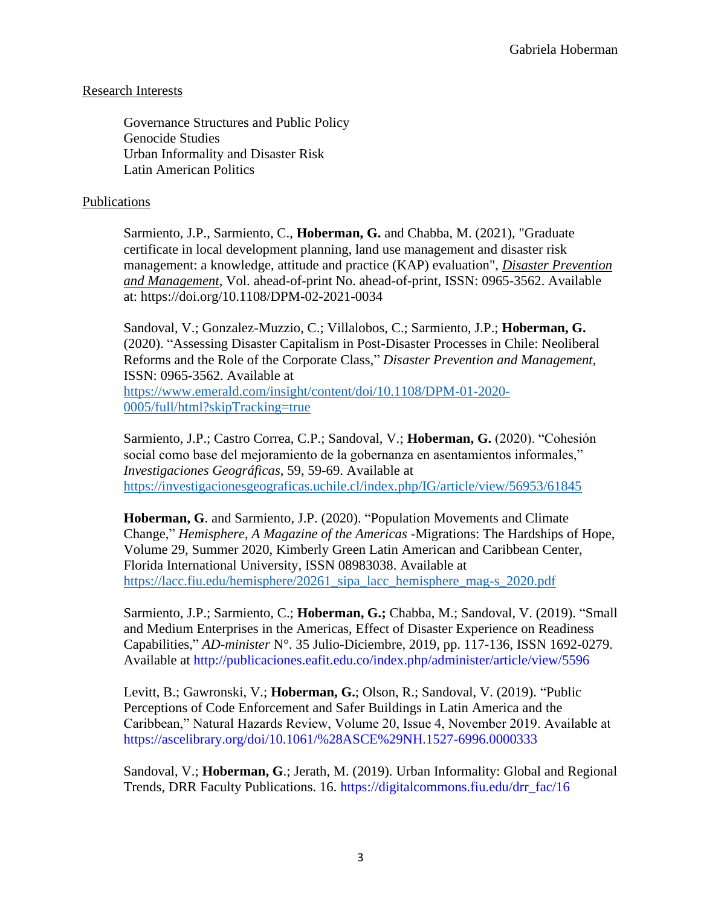# Research Interests

Governance Structures and Public Policy Genocide Studies Urban Informality and Disaster Risk Latin American Politics

# Publications

[Sarmiento, J.P.,](https://www.emerald.com/insight/search?q=Juan%20Pablo%20Sarmiento) [Sarmiento, C.,](https://www.emerald.com/insight/search?q=Catalina%20Sarmiento) **[Hoberman, G.](https://www.emerald.com/insight/search?q=Gabriela%20Hoberman)** and [Chabba, M.](https://www.emerald.com/insight/search?q=Meenakshi%20Chabba) (2021), "Graduate certificate in local development planning, land use management and disaster risk management: a knowledge, attitude and practice (KAP) evaluation", *[Disaster Prevention](https://www.emerald.com/insight/publication/issn/0965-3562)  [and Management](https://www.emerald.com/insight/publication/issn/0965-3562)*, Vol. ahead-of-print No. ahead-of-print, ISSN: 0965-3562. Available at: <https://doi.org/10.1108/DPM-02-2021-0034>

Sandoval, V.; Gonzalez-Muzzio, C.; Villalobos, C.; Sarmiento, J.P.; **Hoberman, G.** (2020). "Assessing Disaster Capitalism in Post-Disaster Processes in Chile: Neoliberal Reforms and the Role of the Corporate Class," *Disaster Prevention and Management*, ISSN: 0965-3562. Available at [https://www.emerald.com/insight/content/doi/10.1108/DPM-01-2020-](https://www.emerald.com/insight/content/doi/10.1108/DPM-01-2020-0005/full/html?skipTracking=true) [0005/full/html?skipTracking=true](https://www.emerald.com/insight/content/doi/10.1108/DPM-01-2020-0005/full/html?skipTracking=true)

Sarmiento, J.P.; Castro Correa, C.P.; Sandoval, V.; **Hoberman, G.** (2020). "Cohesión social como base del mejoramiento de la gobernanza en asentamientos informales," *Investigaciones Geográficas*, 59, 59-69. Available at <https://investigacionesgeograficas.uchile.cl/index.php/IG/article/view/56953/61845>

**Hoberman, G**. and Sarmiento, J.P. (2020). "Population Movements and Climate Change," *Hemisphere, A Magazine of the Americas* -Migrations: The Hardships of Hope, Volume 29, Summer 2020, Kimberly Green Latin American and Caribbean Center, Florida International University, ISSN 08983038. Available at [https://lacc.fiu.edu/hemisphere/20261\\_sipa\\_lacc\\_hemisphere\\_mag-s\\_2020.pdf](https://lacc.fiu.edu/hemisphere/20261_sipa_lacc_hemisphere_mag-s_2020.pdf)

Sarmiento, J.P.; Sarmiento, C.; **Hoberman, G.;** Chabba, M.; Sandoval, V. (2019). "Small and Medium Enterprises in the Americas, Effect of Disaster Experience on Readiness Capabilities," *AD-minister* N°. 35 Julio-Diciembre, 2019, pp. 117-136, ISSN 1692-0279. Available at http://publicaciones.eafit.edu.co/index.php/administer/article/view/5596

Levitt, B.; Gawronski, V.; **Hoberman, G.**; Olson, R.; Sandoval, V. (2019). "Public Perceptions of Code Enforcement and Safer Buildings in Latin America and the Caribbean," Natural Hazards Review, Volume 20, Issue 4, November 2019. Available at https://ascelibrary.org/doi/10.1061/%28ASCE%29NH.1527-6996.0000333

Sandoval, V.; **Hoberman, G**.; Jerath, M. (2019). Urban Informality: Global and Regional Trends, DRR Faculty Publications. 16. https://digitalcommons.fiu.edu/drr\_fac/16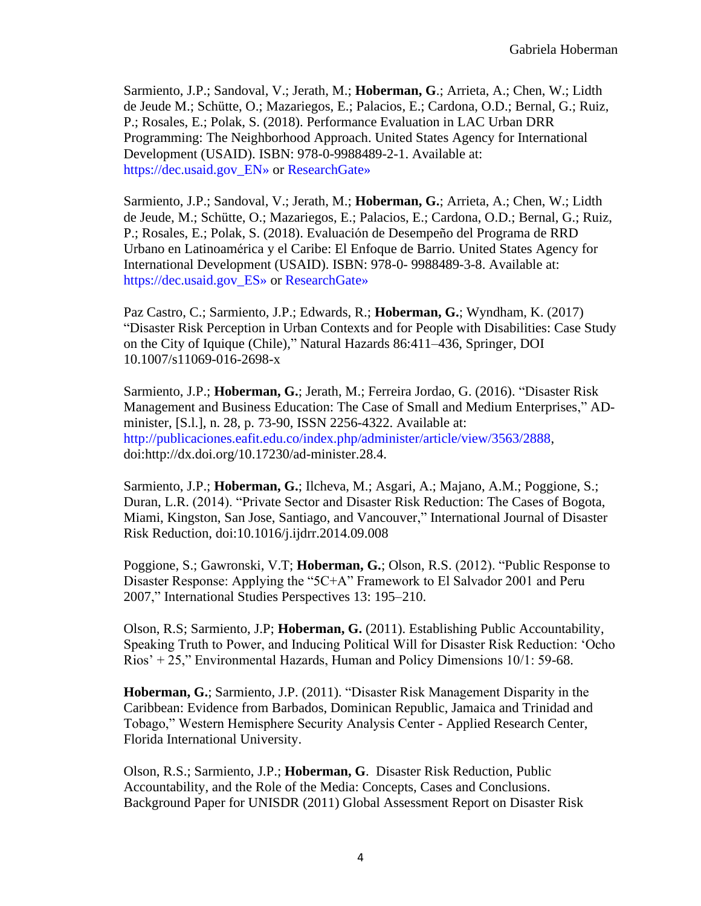Sarmiento, J.P.; Sandoval, V.; Jerath, M.; **Hoberman, G**.; Arrieta, A.; Chen, W.; Lidth de Jeude M.; Schütte, O.; Mazariegos, E.; Palacios, E.; Cardona, O.D.; Bernal, G.; Ruiz, P.; Rosales, E.; Polak, S. (2018). Performance Evaluation in LAC Urban DRR Programming: The Neighborhood Approach. United States Agency for International Development (USAID). ISBN: 978-0-9988489-2-1. Available at: https://dec.usaid.gov\_EN» or ResearchGate»

Sarmiento, J.P.; Sandoval, V.; Jerath, M.; **Hoberman, G.**; Arrieta, A.; Chen, W.; Lidth de Jeude, M.; Schütte, O.; Mazariegos, E.; Palacios, E.; Cardona, O.D.; Bernal, G.; Ruiz, P.; Rosales, E.; Polak, S. (2018). Evaluación de Desempeño del Programa de RRD Urbano en Latinoamérica y el Caribe: El Enfoque de Barrio. United States Agency for International Development (USAID). ISBN: 978-0- 9988489-3-8. Available at: https://dec.usaid.gov ES» or ResearchGate»

Paz Castro, C.; Sarmiento, J.P.; Edwards, R.; **Hoberman, G.**; Wyndham, K. (2017) "Disaster Risk Perception in Urban Contexts and for People with Disabilities: Case Study on the City of Iquique (Chile)," Natural Hazards 86:411–436, Springer, DOI 10.1007/s11069-016-2698-x

Sarmiento, J.P.; **Hoberman, G.**; Jerath, M.; Ferreira Jordao, G. (2016). "Disaster Risk Management and Business Education: The Case of Small and Medium Enterprises," ADminister, [S.l.], n. 28, p. 73-90, ISSN 2256-4322. Available at: http://publicaciones.eafit.edu.co/index.php/administer/article/view/3563/2888, doi:http://dx.doi.org/10.17230/ad-minister.28.4.

Sarmiento, J.P.; **Hoberman, G.**; Ilcheva, M.; Asgari, A.; Majano, A.M.; Poggione, S.; Duran, L.R. (2014). "Private Sector and Disaster Risk Reduction: The Cases of Bogota, Miami, Kingston, San Jose, Santiago, and Vancouver," International Journal of Disaster Risk Reduction, doi:10.1016/j.ijdrr.2014.09.008

Poggione, S.; Gawronski, V.T; **Hoberman, G.**; Olson, R.S. (2012). "Public Response to Disaster Response: Applying the "5C+A" Framework to El Salvador 2001 and Peru 2007," International Studies Perspectives 13: 195–210.

Olson, R.S; Sarmiento, J.P; **Hoberman, G.** (2011). Establishing Public Accountability, Speaking Truth to Power, and Inducing Political Will for Disaster Risk Reduction: 'Ocho Rios' + 25," Environmental Hazards, Human and Policy Dimensions 10/1: 59-68.

**Hoberman, G.**; Sarmiento, J.P. (2011). "Disaster Risk Management Disparity in the Caribbean: Evidence from Barbados, Dominican Republic, Jamaica and Trinidad and Tobago," Western Hemisphere Security Analysis Center - Applied Research Center, Florida International University.

Olson, R.S.; Sarmiento, J.P.; **Hoberman, G**. Disaster Risk Reduction, Public Accountability, and the Role of the Media: Concepts, Cases and Conclusions. Background Paper for UNISDR (2011) Global Assessment Report on Disaster Risk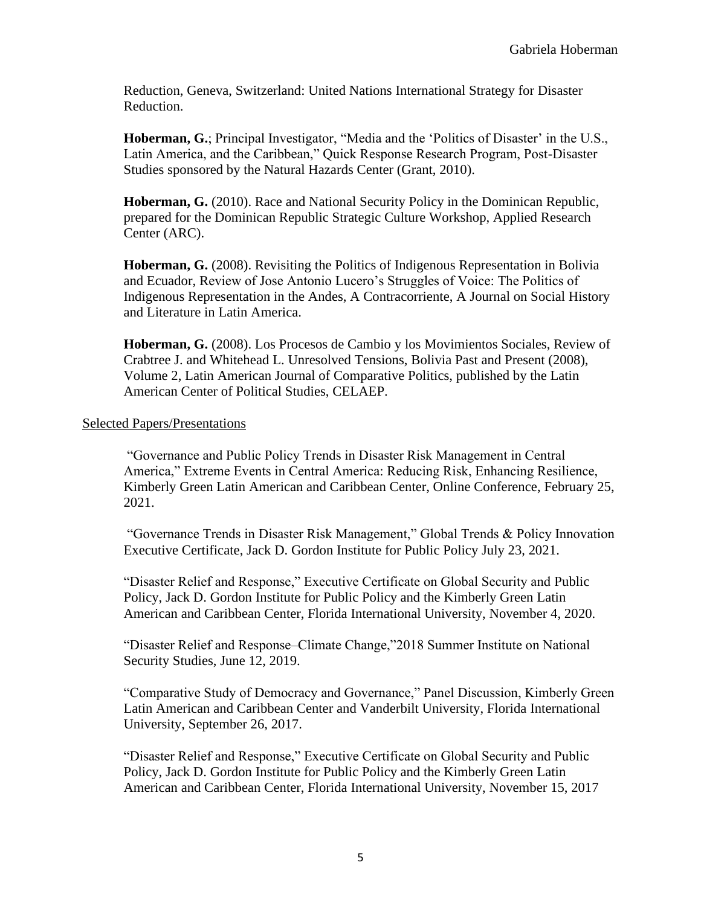Reduction, Geneva, Switzerland: United Nations International Strategy for Disaster Reduction.

**Hoberman, G.**; Principal Investigator, "Media and the 'Politics of Disaster' in the U.S., Latin America, and the Caribbean," Quick Response Research Program, Post-Disaster Studies sponsored by the Natural Hazards Center (Grant, 2010).

**Hoberman, G.** (2010). Race and National Security Policy in the Dominican Republic, prepared for the Dominican Republic Strategic Culture Workshop, Applied Research Center (ARC).

**Hoberman, G.** (2008). Revisiting the Politics of Indigenous Representation in Bolivia and Ecuador, Review of Jose Antonio Lucero's Struggles of Voice: The Politics of Indigenous Representation in the Andes, A Contracorriente, A Journal on Social History and Literature in Latin America.

**Hoberman, G.** (2008). Los Procesos de Cambio y los Movimientos Sociales, Review of Crabtree J. and Whitehead L. Unresolved Tensions, Bolivia Past and Present (2008), Volume 2, Latin American Journal of Comparative Politics, published by the Latin American Center of Political Studies, CELAEP.

### Selected Papers/Presentations

"Governance and Public Policy Trends in Disaster Risk Management in Central America," Extreme Events in Central America: Reducing Risk, Enhancing Resilience, Kimberly Green Latin American and Caribbean Center, Online Conference, February 25, 2021.

"Governance Trends in Disaster Risk Management," Global Trends & Policy Innovation Executive Certificate, Jack D. Gordon Institute for Public Policy July 23, 2021.

"Disaster Relief and Response," Executive Certificate on Global Security and Public Policy, Jack D. Gordon Institute for Public Policy and the Kimberly Green Latin American and Caribbean Center, Florida International University, November 4, 2020.

"Disaster Relief and Response–Climate Change,"2018 Summer Institute on National Security Studies, June 12, 2019.

"Comparative Study of Democracy and Governance," Panel Discussion, Kimberly Green Latin American and Caribbean Center and Vanderbilt University, Florida International University, September 26, 2017.

"Disaster Relief and Response," Executive Certificate on Global Security and Public Policy, Jack D. Gordon Institute for Public Policy and the Kimberly Green Latin American and Caribbean Center, Florida International University, November 15, 2017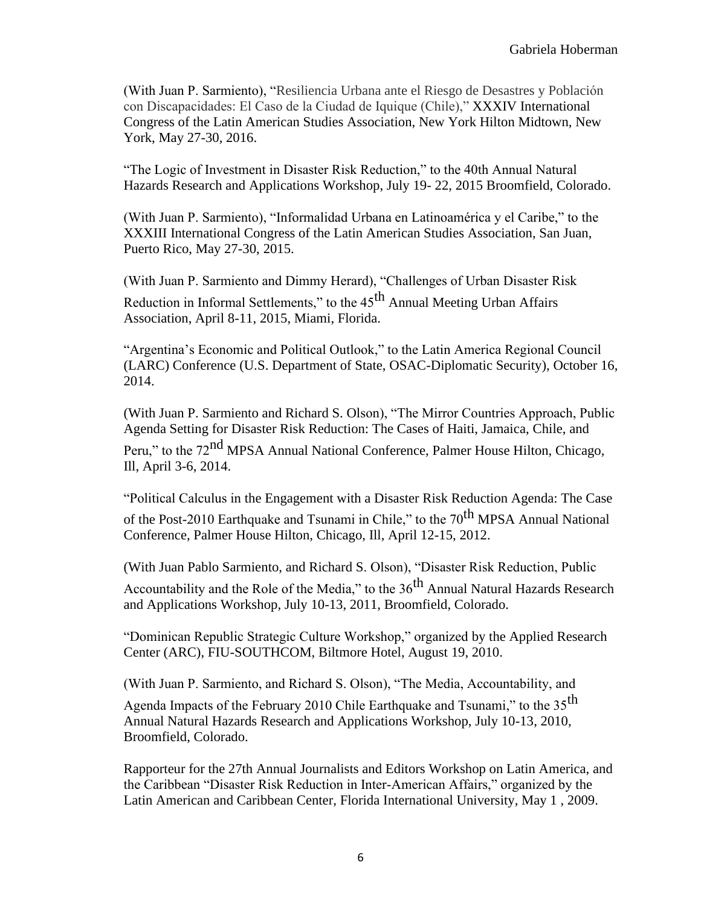(With Juan P. Sarmiento), "Resiliencia Urbana ante el Riesgo de Desastres y Población con Discapacidades: El Caso de la Ciudad de Iquique (Chile)," XXXIV International Congress of the Latin American Studies Association, New York Hilton Midtown, New York, May 27-30, 2016.

"The Logic of Investment in Disaster Risk Reduction," to the 40th Annual Natural Hazards Research and Applications Workshop, July 19- 22, 2015 Broomfield, Colorado.

(With Juan P. Sarmiento), "Informalidad Urbana en Latinoamérica y el Caribe," to the XXXIII International Congress of the Latin American Studies Association, San Juan, Puerto Rico, May 27-30, 2015.

(With Juan P. Sarmiento and Dimmy Herard), "Challenges of Urban Disaster Risk Reduction in Informal Settlements," to the 45<sup>th</sup> Annual Meeting Urban Affairs Association, April 8-11, 2015, Miami, Florida.

"Argentina's Economic and Political Outlook," to the Latin America Regional Council (LARC) Conference (U.S. Department of State, OSAC-Diplomatic Security), October 16, 2014.

(With Juan P. Sarmiento and Richard S. Olson), "The Mirror Countries Approach, Public Agenda Setting for Disaster Risk Reduction: The Cases of Haiti, Jamaica, Chile, and

Peru," to the 72<sup>nd</sup> MPSA Annual National Conference, Palmer House Hilton, Chicago, Ill, April 3-6, 2014.

"Political Calculus in the Engagement with a Disaster Risk Reduction Agenda: The Case of the Post-2010 Earthquake and Tsunami in Chile," to the  $70<sup>th</sup> MPSA$  Annual National Conference, Palmer House Hilton, Chicago, Ill, April 12-15, 2012.

(With Juan Pablo Sarmiento, and Richard S. Olson), "Disaster Risk Reduction, Public Accountability and the Role of the Media," to the  $36<sup>th</sup>$  Annual Natural Hazards Research and Applications Workshop, July 10-13, 2011, Broomfield, Colorado.

"Dominican Republic Strategic Culture Workshop," organized by the Applied Research Center (ARC), FIU-SOUTHCOM, Biltmore Hotel, August 19, 2010.

(With Juan P. Sarmiento, and Richard S. Olson), "The Media, Accountability, and

Agenda Impacts of the February 2010 Chile Earthquake and Tsunami," to the 35<sup>th</sup> Annual Natural Hazards Research and Applications Workshop, July 10-13, 2010, Broomfield, Colorado.

Rapporteur for the 27th Annual Journalists and Editors Workshop on Latin America, and the Caribbean "Disaster Risk Reduction in Inter-American Affairs," organized by the Latin American and Caribbean Center, Florida International University, May 1 , 2009.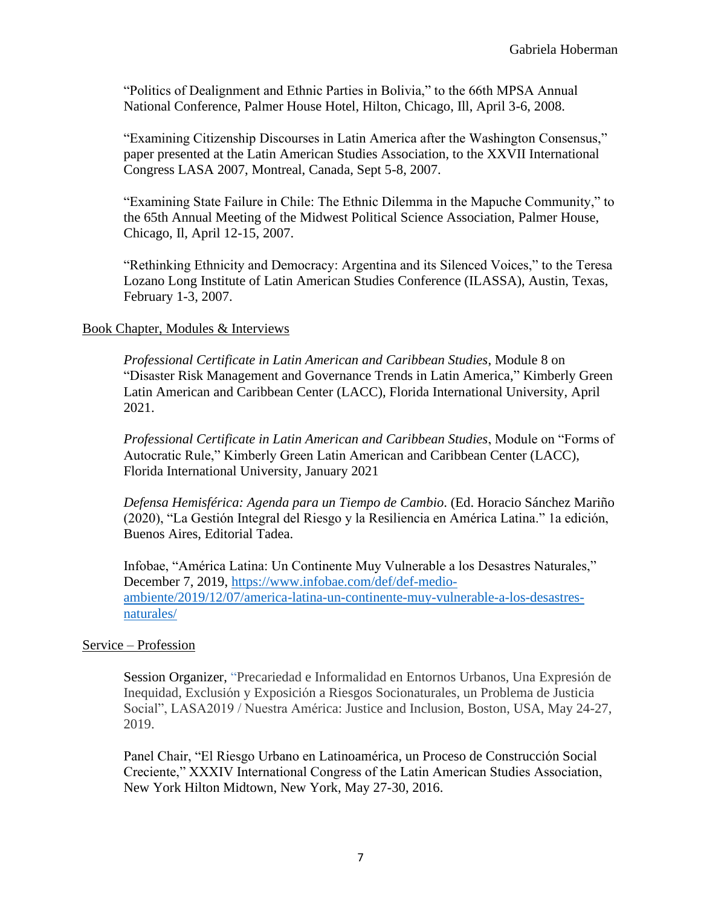"Politics of Dealignment and Ethnic Parties in Bolivia," to the 66th MPSA Annual National Conference, Palmer House Hotel, Hilton, Chicago, Ill, April 3-6, 2008.

"Examining Citizenship Discourses in Latin America after the Washington Consensus," paper presented at the Latin American Studies Association, to the XXVII International Congress LASA 2007, Montreal, Canada, Sept 5-8, 2007.

"Examining State Failure in Chile: The Ethnic Dilemma in the Mapuche Community," to the 65th Annual Meeting of the Midwest Political Science Association, Palmer House, Chicago, Il, April 12-15, 2007.

"Rethinking Ethnicity and Democracy: Argentina and its Silenced Voices," to the Teresa Lozano Long Institute of Latin American Studies Conference (ILASSA), Austin, Texas, February 1-3, 2007.

### Book Chapter, Modules & Interviews

*Professional Certificate in Latin American and Caribbean Studies*, Module 8 on "Disaster Risk Management and Governance Trends in Latin America," Kimberly Green Latin American and Caribbean Center (LACC), Florida International University, April 2021.

*Professional Certificate in Latin American and Caribbean Studies*, Module on "Forms of Autocratic Rule," Kimberly Green Latin American and Caribbean Center (LACC), Florida International University, January 2021

*Defensa Hemisférica: Agenda para un Tiempo de Cambio*. (Ed. Horacio Sánchez Mariño (2020), "La Gestión Integral del Riesgo y la Resiliencia en América Latina." 1a edición, Buenos Aires, Editorial Tadea.

Infobae, "América Latina: Un Continente Muy Vulnerable a los Desastres Naturales," December 7, 2019, [https://www.infobae.com/def/def-medio](https://www.infobae.com/def/def-medio-ambiente/2019/12/07/america-latina-un-continente-muy-vulnerable-a-los-desastres-naturales/)[ambiente/2019/12/07/america-latina-un-continente-muy-vulnerable-a-los-desastres](https://www.infobae.com/def/def-medio-ambiente/2019/12/07/america-latina-un-continente-muy-vulnerable-a-los-desastres-naturales/)[naturales/](https://www.infobae.com/def/def-medio-ambiente/2019/12/07/america-latina-un-continente-muy-vulnerable-a-los-desastres-naturales/)

### Service – Profession

Session Organizer, "Precariedad e Informalidad en Entornos Urbanos, Una Expresión de Inequidad, Exclusión y Exposición a Riesgos Socionaturales, un Problema de Justicia Social", LASA2019 / Nuestra América: Justice and Inclusion, Boston, USA, May 24-27, 2019.

Panel Chair, "El Riesgo Urbano en Latinoamérica, un Proceso de Construcción Social Creciente," XXXIV International Congress of the Latin American Studies Association, New York Hilton Midtown, New York, May 27-30, 2016.